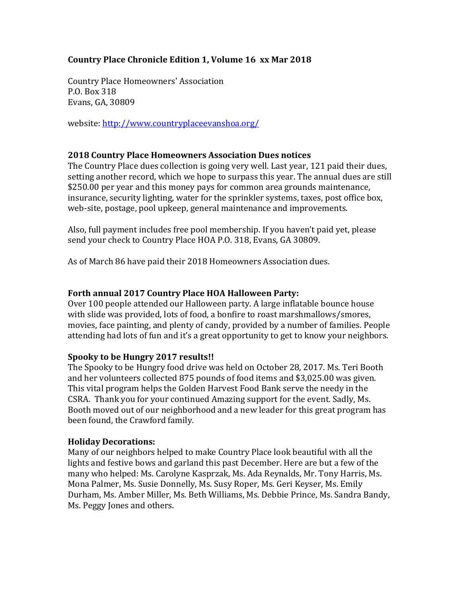# Country Place Chronicle Edition 1, Volume 16 xx Mar 2018

Country Place Homeowners' Association P.O. Box 318 Evans, GA, 30809

website: http://www.countryplaceevanshoa.org/

### 2018 Country Place Homeowners Association Dues notices

The Country Place dues collection is going very well. Last year, 121 paid their dues, setting another record, which we hope to surpass this year. The annual dues are still \$250.00 per year and this money pays for common area grounds maintenance, insurance, security lighting, water for the sprinkler systems, taxes, post office box, web-site, postage, pool upkeep, general maintenance and improvements.

Also, full payment includes free pool membership. If you haven't paid yet, please send your check to Country Place HOA P.O. 318, Evans, GA 30809.

As of March 86 have paid their 2018 Homeowners Association dues.

### Forth annual 2017 Country Place HOA Halloween Party:

Over 100 people attended our Halloween party. A large inflatable bounce house with slide was provided, lots of food, a bonfire to roast marshmallows/smores, movies, face painting, and plenty of candy, provided by a number of families. People attending had lots of fun and it's a great opportunity to get to know your neighbors.

#### Spooky to be Hungry 2017 results!!

The Spooky to be Hungry food drive was held on October 28, 2017. Ms. Teri Booth and her volunteers collected 875 pounds of food items and \$3,025.00 was given. This vital program helps the Golden Harvest Food Bank serve the needy in the CSRA. Thank you for your continued Amazing support for the event. Sadly, Ms. Booth moved out of our neighborhood and a new leader for this great program has been found, the Crawford family.

#### Holiday Decorations:

Many of our neighbors helped to make Country Place look beautiful with all the lights and festive bows and garland this past December. Here are but a few of the many who helped: Ms. Carolyne Kasprzak, Ms. Ada Reynalds, Mr. Tony Harris, Ms. Mona Palmer, Ms. Susie Donnelly, Ms. Susy Roper, Ms. Geri Keyser, Ms. Emily Durham, Ms. Amber Miller, Ms. Beth Williams, Ms. Debbie Prince, Ms. Sandra Bandy, Ms. Peggy Jones and others.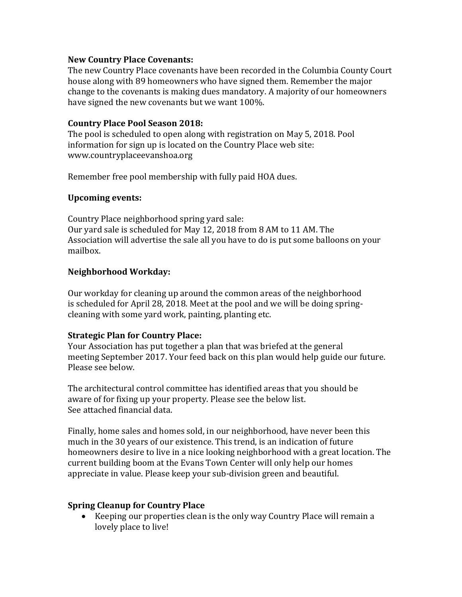### New Country Place Covenants:

The new Country Place covenants have been recorded in the Columbia County Court house along with 89 homeowners who have signed them. Remember the major change to the covenants is making dues mandatory. A majority of our homeowners have signed the new covenants but we want 100%.

### Country Place Pool Season 2018:

The pool is scheduled to open along with registration on May 5, 2018. Pool information for sign up is located on the Country Place web site: www.countryplaceevanshoa.org

Remember free pool membership with fully paid HOA dues.

### Upcoming events:

Country Place neighborhood spring yard sale: Our yard sale is scheduled for May 12, 2018 from 8 AM to 11 AM. The Association will advertise the sale all you have to do is put some balloons on your mailbox.

## Neighborhood Workday:

Our workday for cleaning up around the common areas of the neighborhood is scheduled for April 28, 2018. Meet at the pool and we will be doing springcleaning with some yard work, painting, planting etc.

#### Strategic Plan for Country Place:

Your Association has put together a plan that was briefed at the general meeting September 2017. Your feed back on this plan would help guide our future. Please see below.

The architectural control committee has identified areas that you should be aware of for fixing up your property. Please see the below list. See attached financial data.

Finally, home sales and homes sold, in our neighborhood, have never been this much in the 30 years of our existence. This trend, is an indication of future homeowners desire to live in a nice looking neighborhood with a great location. The current building boom at the Evans Town Center will only help our homes appreciate in value. Please keep your sub-division green and beautiful.

## Spring Cleanup for Country Place

 Keeping our properties clean is the only way Country Place will remain a lovely place to live!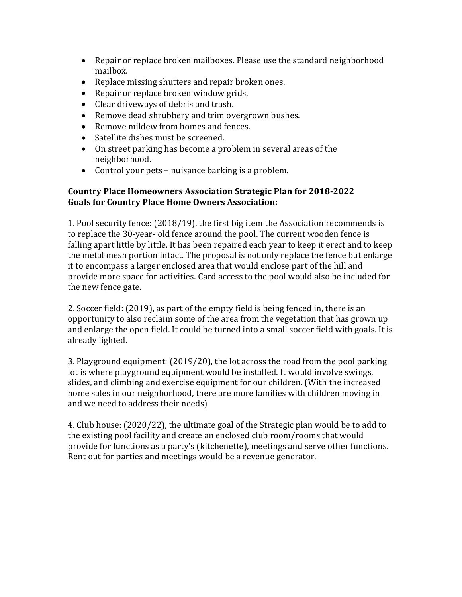- Repair or replace broken mailboxes. Please use the standard neighborhood mailbox.
- Replace missing shutters and repair broken ones.
- Repair or replace broken window grids.
- Clear driveways of debris and trash.
- Remove dead shrubbery and trim overgrown bushes.
- Remove mildew from homes and fences.
- Satellite dishes must be screened.
- On street parking has become a problem in several areas of the neighborhood.
- Control your pets nuisance barking is a problem.

## Country Place Homeowners Association Strategic Plan for 2018-2022 Goals for Country Place Home Owners Association:

1. Pool security fence: (2018/19), the first big item the Association recommends is to replace the 30-year- old fence around the pool. The current wooden fence is falling apart little by little. It has been repaired each year to keep it erect and to keep the metal mesh portion intact. The proposal is not only replace the fence but enlarge it to encompass a larger enclosed area that would enclose part of the hill and provide more space for activities. Card access to the pool would also be included for the new fence gate.

2. Soccer field: (2019), as part of the empty field is being fenced in, there is an opportunity to also reclaim some of the area from the vegetation that has grown up and enlarge the open field. It could be turned into a small soccer field with goals. It is already lighted.

3. Playground equipment: (2019/20), the lot across the road from the pool parking lot is where playground equipment would be installed. It would involve swings, slides, and climbing and exercise equipment for our children. (With the increased home sales in our neighborhood, there are more families with children moving in and we need to address their needs)

4. Club house: (2020/22), the ultimate goal of the Strategic plan would be to add to the existing pool facility and create an enclosed club room/rooms that would provide for functions as a party's (kitchenette), meetings and serve other functions. Rent out for parties and meetings would be a revenue generator.